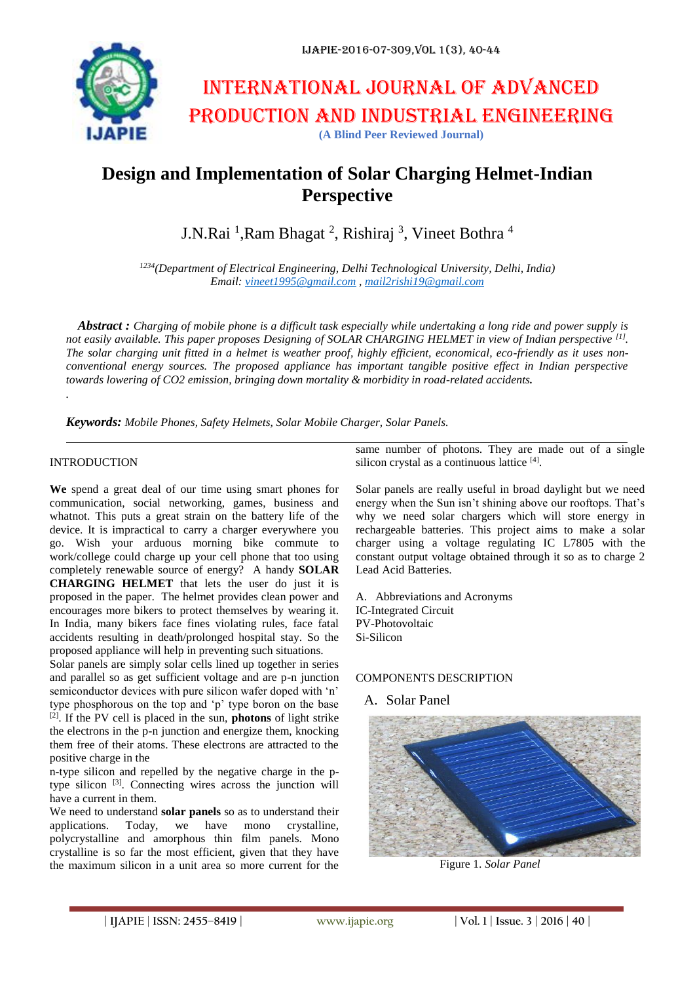

# International journal of advanced production and industrial engineering **(A Blind Peer Reviewed Journal)**

# **Design and Implementation of Solar Charging Helmet-Indian Perspective**

J.N.Rai <sup>1</sup>,Ram Bhagat <sup>2</sup>, Rishiraj <sup>3</sup>, Vineet Bothra <sup>4</sup>

*<sup>1234</sup>(Department of Electrical Engineering, Delhi Technological University, Delhi, India) Email: [vineet1995@gmail.com](mailto:vineet1995@gmail.com) [, mail2rishi19@gmail.com](mailto:mail2rishi19@gmail.com)*

*Abstract : Charging of mobile phone is a difficult task especially while undertaking a long ride and power supply is not easily available. This paper proposes Designing of SOLAR CHARGING HELMET in view of Indian perspective* <sup>[1]</sup>. *The solar charging unit fitted in a helmet is weather proof, highly efficient, economical, eco-friendly as it uses nonconventional energy sources. The proposed appliance has important tangible positive effect in Indian perspective towards lowering of CO2 emission, bringing down mortality & morbidity in road-related accidents.*

*Keywords: Mobile Phones, Safety Helmets, Solar Mobile Charger, Solar Panels.*

#### INTRODUCTION

*.*

**We** spend a great deal of our time using smart phones for communication, social networking, games, business and whatnot. This puts a great strain on the battery life of the device. It is impractical to carry a charger everywhere you go. Wish your arduous morning bike commute to work/college could charge up your cell phone that too using completely renewable source of energy? A handy **SOLAR CHARGING HELMET** that lets the user do just it is proposed in the paper. The helmet provides clean power and encourages more bikers to protect themselves by wearing it. In India, many bikers face fines violating rules, face fatal accidents resulting in death/prolonged hospital stay. So the proposed appliance will help in preventing such situations.

Solar panels are simply solar cells lined up together in series and parallel so as get sufficient voltage and are p-n junction semiconductor devices with pure silicon wafer doped with 'n' type phosphorous on the top and 'p' type boron on the base [2]. If the PV cell is placed in the sun, **photons** of light strike the electrons in the p-n junction and energize them, knocking them free of their atoms. These electrons are attracted to the positive charge in the

n-type silicon and repelled by the negative charge in the ptype silicon <sup>[3]</sup>. Connecting wires across the junction will have a current in them.

We need to understand **solar panels** so as to understand their applications. Today, we have mono crystalline, polycrystalline and amorphous thin film panels. Mono crystalline is so far the most efficient, given that they have the maximum silicon in a unit area so more current for the

same number of photons. They are made out of a single silicon crystal as a continuous lattice [4].

Solar panels are really useful in broad daylight but we need energy when the Sun isn't shining above our rooftops. That's why we need solar chargers which will store energy in rechargeable batteries. This project aims to make a solar charger using a voltage regulating IC L7805 with the constant output voltage obtained through it so as to charge 2 Lead Acid Batteries.

A. Abbreviations and Acronyms IC-Integrated Circuit PV-Photovoltaic Si-Silicon

#### COMPONENTS DESCRIPTION

#### A. Solar Panel



Figure 1. *Solar Panel*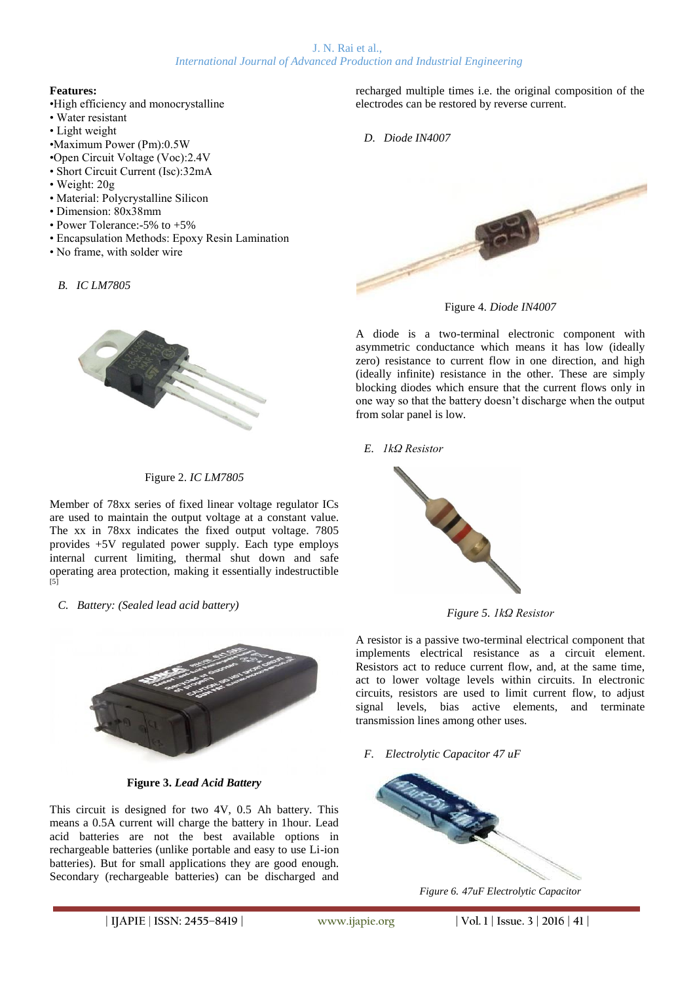## **Features:**

- •High efficiency and monocrystalline
- Water resistant
- Light weight
- •Maximum Power (Pm):0.5W
- •Open Circuit Voltage (Voc):2.4V
- Short Circuit Current (Isc):32mA
- Weight: 20g
- Material: Polycrystalline Silicon
- Dimension: 80x38mm
- Power Tolerance:-5% to +5%
- Encapsulation Methods: Epoxy Resin Lamination
- No frame, with solder wire
	- *B. IC LM7805*



#### Figure 2. *IC LM7805*

Member of 78xx series of fixed linear voltage regulator ICs are used to maintain the output voltage at a constant value. The xx in 78xx indicates the fixed output voltage. 7805 provides +5V regulated power supply. Each type employs internal current limiting, thermal shut down and safe operating area protection, making it essentially indestructible  $\overline{[5]}$ 

*C. Battery: (Sealed lead acid battery)*



**Figure 3.** *Lead Acid Battery*

This circuit is designed for two 4V, 0.5 Ah battery. This means a 0.5A current will charge the battery in 1hour. Lead acid batteries are not the best available options in rechargeable batteries (unlike portable and easy to use Li-ion batteries). But for small applications they are good enough. Secondary (rechargeable batteries) can be discharged and recharged multiple times i.e. the original composition of the electrodes can be restored by reverse current.

*D. Diode IN4007*



Figure 4. *Diode IN4007*

A diode is a two-terminal electronic component with asymmetric conductance which means it has low (ideally zero) resistance to current flow in one direction, and high (ideally infinite) resistance in the other. These are simply blocking diodes which ensure that the current flows only in one way so that the battery doesn't discharge when the output from solar panel is low.

*E. 1kΩ Resistor*



*Figure 5. 1kΩ Resistor*

A resistor is a passive two-terminal electrical component that implements electrical resistance as a circuit element. Resistors act to reduce current flow, and, at the same time, act to lower voltage levels within circuits. In electronic circuits, resistors are used to limit current flow, to adjust signal levels, bias active elements, and terminate transmission lines among other uses.

*F. Electrolytic Capacitor 47 uF*



*Figure 6. 47uF Electrolytic Capacitor*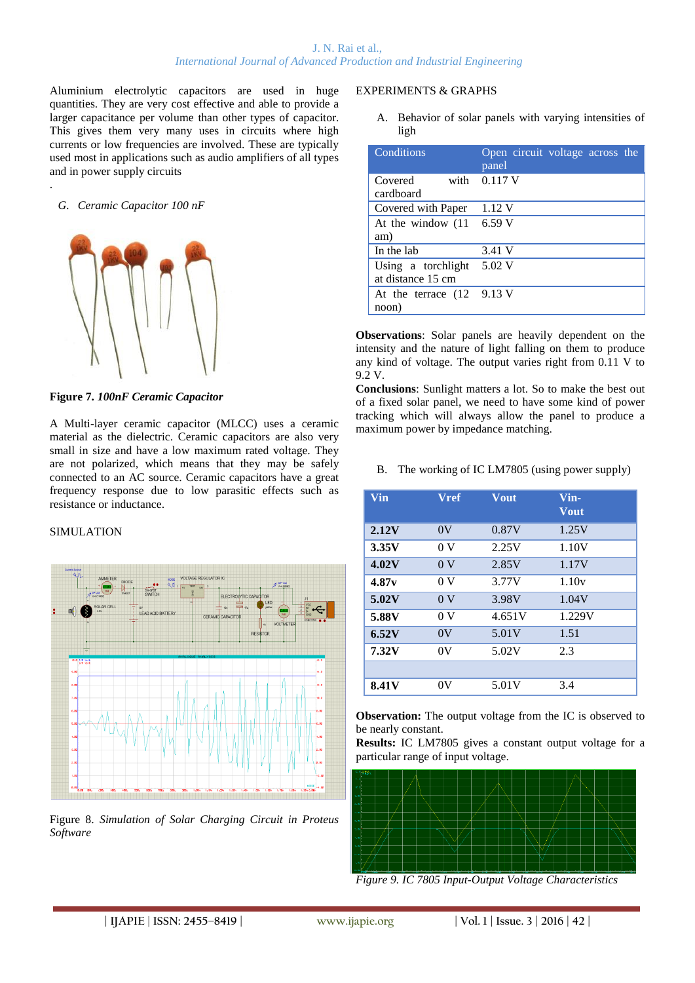Aluminium electrolytic capacitors are used in huge quantities. They are very cost effective and able to provide a larger capacitance per volume than other types of capacitor. This gives them very many uses in circuits where high currents or low frequencies are involved. These are typically used most in applications such as audio amplifiers of all types and in power supply circuits

## *G. Ceramic Capacitor 100 nF*

.



**Figure 7.** *100nF Ceramic Capacitor*

A Multi-layer ceramic capacitor (MLCC) uses a ceramic material as the dielectric. Ceramic capacitors are also very small in size and have a low maximum rated voltage. They are not polarized, which means that they may be safely connected to an AC source. Ceramic capacitors have a great frequency response due to low parasitic effects such as resistance or inductance.

### SIMULATION



Figure 8. *Simulation of Solar Charging Circuit in Proteus Software*

#### EXPERIMENTS & GRAPHS

A. Behavior of solar panels with varying intensities of ligh

| Conditions                                          | Open circuit voltage across the<br>panel |
|-----------------------------------------------------|------------------------------------------|
| Covered<br>cardboard                                | with $0.117$ V                           |
| Covered with Paper                                  | 1.12 V                                   |
| At the window $(11 \quad 6.59 \text{ V})$           |                                          |
| am)                                                 |                                          |
| In the lab                                          | 3.41 V                                   |
| Using a torchlight<br>at distance 15 cm             | 5.02 V                                   |
| At the terrace $(12 \quad 9.13 \text{ V})$<br>noon) |                                          |

**Observations**: Solar panels are heavily dependent on the intensity and the nature of light falling on them to produce any kind of voltage. The output varies right from 0.11 V to 9.2 V.

**Conclusions**: Sunlight matters a lot. So to make the best out of a fixed solar panel, we need to have some kind of power tracking which will always allow the panel to produce a maximum power by impedance matching.

B. The working of IC LM7805 (using power supply)

| Vin          | <b>Vref</b>    | <b>Vout</b> | Vin-<br><b>Vout</b> |
|--------------|----------------|-------------|---------------------|
| 2.12V        | 0V             | 0.87V       | 1.25V               |
| 3.35V        | 0 <sub>V</sub> | 2.25V       | 1.10V               |
| 4.02V        | 0 <sub>V</sub> | 2.85V       | 1.17V               |
| 4.87v        | 0 <sub>V</sub> | 3.77V       | 1.10v               |
| 5.02V        | 0 <sub>V</sub> | 3.98V       | 1.04V               |
| 5.88V        | 0 <sub>V</sub> | 4.651V      | 1.229V              |
| 6.52V        | 0V             | 5.01V       | 1.51                |
| 7.32V        | 0V             | 5.02V       | 2.3                 |
|              |                |             |                     |
| <b>8.41V</b> | 0V             | 5.01V       | 3.4                 |

**Observation:** The output voltage from the IC is observed to be nearly constant.

**Results:** IC LM7805 gives a constant output voltage for a particular range of input voltage.



*Figure 9. IC 7805 Input-Output Voltage Characteristics*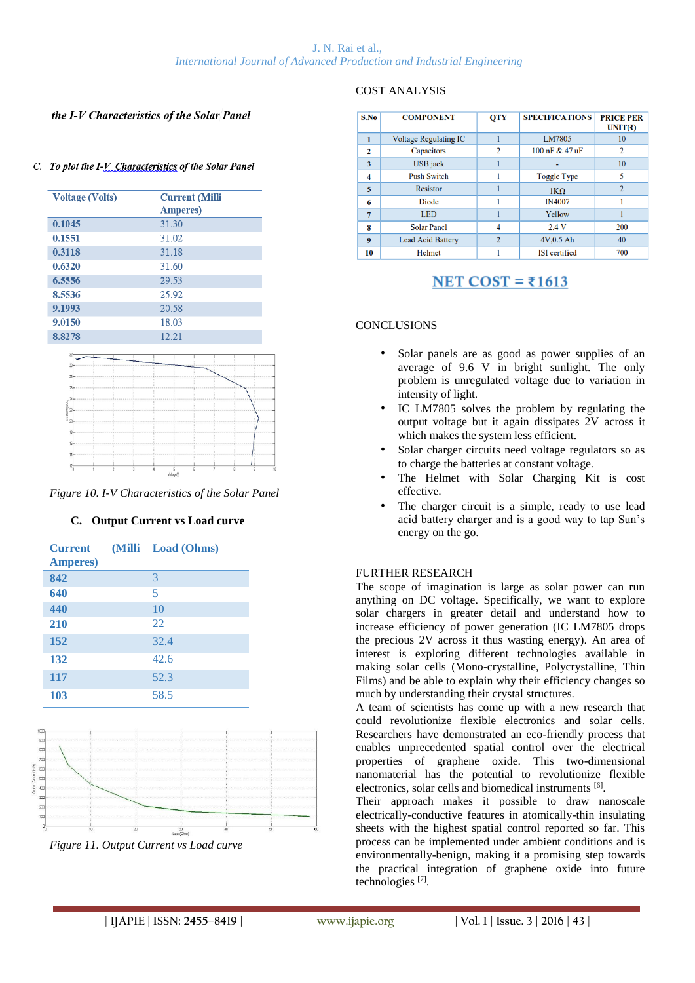#### the I-V Characteristics of the Solar Panel

#### C. To plot the I-V. Characteristics of the Solar Panel

| <b>Voltage (Volts)</b> | <b>Current (Milli</b> |  |
|------------------------|-----------------------|--|
|                        | <b>Amperes</b> )      |  |
| 0.1045                 | 31.30                 |  |
| 0.1551                 | 31.02                 |  |
| 0.3118                 | 31.18                 |  |
| 0.6320                 | 31.60                 |  |
| 6.5556                 | 29.53                 |  |
| 8.5536                 | 25.92                 |  |
| 9.1993                 | 20.58                 |  |
| 9.0150                 | 18.03                 |  |
| 8.8278                 | 12.21                 |  |



*Figure 10. I-V Characteristics of the Solar Panel*

#### **C. Output Current vs Load curve**

| <b>Current</b><br><b>Amperes</b> ) | (Milli Load (Ohms) |
|------------------------------------|--------------------|
| 842                                | 3                  |
| 640                                | 5                  |
| 440                                | 10                 |
| 210                                | 22                 |
| 152                                | 32.4               |
| 132                                | 42.6               |
| 117                                | 52.3               |
| 103                                | 58.5               |



*Figure 11. Output Current vs Load curve*

#### COST ANALYSIS

| S.No         | <b>COMPONENT</b>         | <b>OTY</b>     | <b>SPECIFICATIONS</b> | <b>PRICE PER</b><br>UNIT( $\bar{z}$ ) |
|--------------|--------------------------|----------------|-----------------------|---------------------------------------|
|              | Voltage Regulating IC    |                | LM7805                | 10                                    |
| $\mathbf{2}$ | Capacitors               | 2              | 100 nF & 47 uF        | $\overline{2}$                        |
| 3            | USB jack                 |                |                       | 10                                    |
| 4            | <b>Push Switch</b>       |                | Toggle Type           | 5                                     |
| 5            | Resistor                 |                | $1K\Omega$            | $\overline{2}$                        |
| 6            | Diode                    |                | <b>IN4007</b>         |                                       |
|              | <b>LED</b>               |                | Yellow                |                                       |
| 8            | <b>Solar Panel</b>       | $\overline{4}$ | 2.4V                  | 200                                   |
| 9            | <b>Lead Acid Battery</b> | $\overline{2}$ | $4V,0.5$ Ah           | 40                                    |
| 10           | Helmet                   |                | <b>ISI</b> certified  | 700                                   |

# NET COST =  $\overline{51613}$

# **CONCLUSIONS**

- Solar panels are as good as power supplies of an average of 9.6 V in bright sunlight. The only problem is unregulated voltage due to variation in intensity of light.
- IC LM7805 solves the problem by regulating the output voltage but it again dissipates 2V across it which makes the system less efficient.
- Solar charger circuits need voltage regulators so as to charge the batteries at constant voltage.
- The Helmet with Solar Charging Kit is cost effective.
- The charger circuit is a simple, ready to use lead acid battery charger and is a good way to tap Sun's energy on the go.

#### FURTHER RESEARCH

The scope of imagination is large as solar power can run anything on DC voltage. Specifically, we want to explore solar chargers in greater detail and understand how to increase efficiency of power generation (IC LM7805 drops the precious 2V across it thus wasting energy). An area of interest is exploring different technologies available in making solar cells (Mono-crystalline, Polycrystalline, Thin Films) and be able to explain why their efficiency changes so much by understanding their crystal structures.

A team of scientists has come up with a new research that could revolutionize flexible electronics and solar cells. Researchers have demonstrated an eco-friendly process that enables unprecedented spatial control over the electrical properties of graphene oxide. This two-dimensional nanomaterial has the potential to revolutionize flexible electronics, solar cells and biomedical instruments [6].

Their approach makes it possible to draw nanoscale electrically-conductive features in atomically-thin insulating sheets with the highest spatial control reported so far. This process can be implemented under ambient conditions and is environmentally-benign, making it a promising step towards the practical integration of graphene oxide into future technologies [7] .